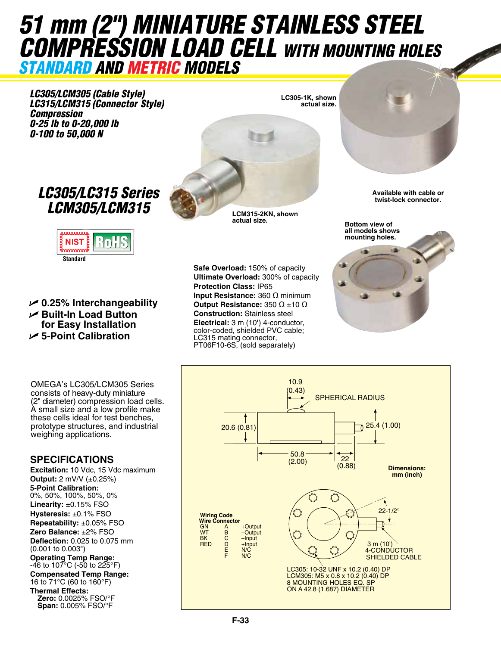# *51 mm (2") MINIATURE STAINLESS STEEL COMPRESSION LOAD CELL WITH MOUNTING HOLES Standard and Metric Models*

*LC305/LCM305 (Cable Style) LC315/LCM315 (Connector Style) Compression 0-25 lb to 0-20,000 lb 0-100 to 50,000 N*

**LC305-1K, shown actual size.**





### U **0.25% Interchangeability** U **Built-In Load Button for Easy Installation** U **5-Point Calibration**

OMEGA's LC305/LCM305 Series consists of heavy-duty miniature (2" diameter) compression load cells. A small size and a low profile make these cells ideal for test benches, prototype structures, and industrial weighing applications.

#### **SPECIFICATIONS**  $\sim$

**Excitation:** 10 Vdc, 15 Vdc maximum **Output:** 2 mV/V (±0.25%) **5-Point Calibration:** 0%, 50%, 100%, 50%, 0% **Linearity:** ±0.15% FSO **Hysteresis:** ±0.1% FSO **Repeatability:** ±0.05% FSO **Zero Balance:** ±2% FSO **Deflection:** 0.025 to 0.075 mm (0.001 to 0.003") **Operating Temp Range:**  -46 to 107°C (-50 to 225°F) **Compensated Temp Range:**  16 to 71°C (60 to 160°F) **Thermal Effects: Zero:** 0.0025% FSO/°F **Span:** 0.005% FSO/°F - INPUT

**Safe Overload:** 150% of capacity **Ultimate Overload:** 300% of capacity **Protection Class:** IP65 **Input Resistance:** 360 Ω minimum **Output Resistance:** 350 Ω ±10 Ω **Construction:** Stainless steel **Electrical:** 3 m (10**'**) 4-conductor, color-coded, shielded PVC cable; LC315 mating connector,

**LCM315-2KN, shown** 

PT06F10-6S, (sold separately)



**Bottom view of all models shows mounting holes.**